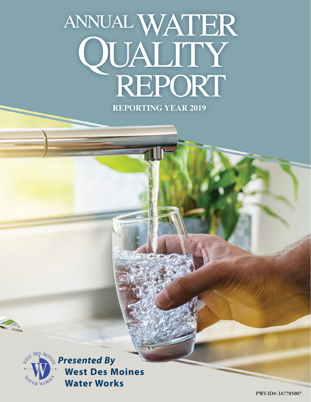# **REPORTING YEAR 2019** annual WATER REPORT QUALITY



*Mong* Presented By **West Des Moines Water Works**

**PWS ID#: IA7785007**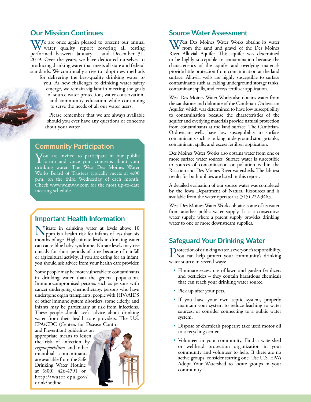### **Our Mission Continues**

W/ e are once again pleased to present our annual water quality report covering all testing performed between January 1 and December 31, 2019. Over the years, we have dedicated ourselves to producing drinking water that meets all state and federal standards. We continually strive to adopt new methods for delivering the best-quality drinking water to you. As new challenges to drinking water safety emerge, we remain vigilant in meeting the goals of source water protection, water conservation, and community education while continuing to serve the needs of all our water users.

> Please remember that we are always available should you ever have any questions or concerns about your water.

#### **Community Participation**

 $\sqrt{\ }$ ou are invited to participate in our public  $\bf{I}$  forum and voice your concerns about your drinking water. The West Des Moines Water Works Board of Trustees typically meets at 4:00 p.m. on the third Wednesday of each month. Check [www.wdmww.com](http://www.wdmww.com) for the most up-to-date meeting schedule.

Nitrate in drinking water at levels above 10<br>ppm is a health risk for infants of less than six<br>moogle of soc. High gives look in drinking water months of age. High nitrate levels in drinking water can cause blue baby syndrome. Nitrate levels may rise quickly for short periods of time because of rainfall or agricultural activity. If you are caring for an infant, you should ask advice from your health care provider.

Some people may be more vulnerable to contaminants in drinking water than the general population. Immunocompromised persons such as persons with cancer undergoing chemotherapy, persons who have undergone organ transplants, people with HIV/AIDS or other immune system disorders, some elderly, and infants may be particularly at risk from infections. These people should seek advice about drinking water from their health care providers. The U.S. EPA/CDC (Centers for Disease Control

and Prevention) guidelines on appropriate means to lessen the risk of infection by *cryptosporidium* and other microbial contaminants are available from the Safe Drinking Water Hotline at (800) 426-4791 or [http://water.epa.gov/](http://water.epa.gov/drink/hotline) [drink/hotline](http://water.epa.gov/drink/hotline).



#### **Source Water Assessment**

West Des Moines Water Works obtains its water from the sand and gravel of the Des Moines River Alluvial Aquifer. This aquifer was determined to be highly susceptible to contamination because the characteristics of the aquifer and overlying materials provide little protection from contamination at the land surface. Alluvial wells are highly susceptible to surface contaminants such as leaking underground storage tanks, contaminant spills, and excess fertilizer application.

West Des Moines Water Works also obtains water from the sandstone and dolomite of the Cambrian-Ordovician Aquifer, which was determined to have low susceptibility to contamination because the characteristics of the aquifer and overlying materials provide natural protection from contaminants at the land surface. The Cambrian-Ordovician wells have low susceptibility to surface contaminants such as leaking underground storage tanks, contaminant spills, and excess fertilizer application.

Des Moines Water Works also obtains water from one or more surface water sources. Surface water is susceptible to sources of contamination or pollution within the Raccoon and Des Moines River watersheds. The lab test results for both utilities are listed in this report.

A detailed evaluation of our source water was completed by the Iowa Department of Natural Resources and is available from the water operator at (515) 222-3465.

West Des Moines Water Works obtains some of its water from another public water supply. It is a consecutive water supply, where a parent supply provides drinking **Important Health Information**<br>water to one or more downstream supplies.

## **Safeguard Your Drinking Water**

Protection of drinking water is everyone's responsibility. You can help protect your community's drinking water source in several ways:

- Eliminate excess use of lawn and garden fertilizers and pesticides – they contain hazardous chemicals that can reach your drinking water source.
- Pick up after your pets.
- If you have your own septic system, properly maintain your system to reduce leaching to water sources, or consider connecting to a public water system.
- Dispose of chemicals properly; take used motor oil to a recycling center.
- Volunteer in your community. Find a watershed or wellhead protection organization in your community and volunteer to help. If there are no active groups, consider starting one. Use U.S. EPA's Adopt Your Watershed to locate groups in your community.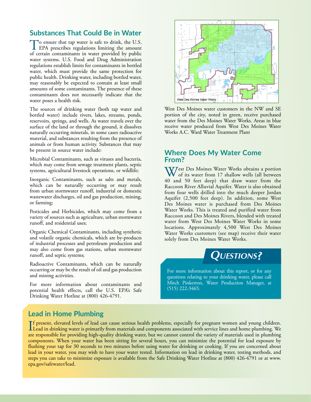## **Substances That Could Be in Water**

To ensure that tap water is safe to drink, the U.S.<br>EPA prescribes regulations limiting the amount of certain contaminants in water provided by public water systems. U.S. Food and Drug Administration regulations establish limits for contaminants in bottled water, which must provide the same protection for public health. Drinking water, including bottled water, may reasonably be expected to contain at least small amounts of some contaminants. The presence of these contaminants does not necessarily indicate that the water poses a health risk.

The sources of drinking water (both tap water and bottled water) include rivers, lakes, streams, ponds, reservoirs, springs, and wells. As water travels over the surface of the land or through the ground, it dissolves naturally occurring minerals, in some cases radioactive material, and substances resulting from the presence of animals or from human activity. Substances that may be present in source water include:

Microbial Contaminants, such as viruses and bacteria, which may come from sewage treatment plants, septic systems, agricultural livestock operations, or wildlife;

Inorganic Contaminants, such as salts and metals, which can be naturally occurring or may result from urban stormwater runoff, industrial or domestic wastewater discharges, oil and gas production, mining, or farming;

Pesticides and Herbicides, which may come from a variety of sources such as agriculture, urban stormwater runoff, and residential uses;

Organic Chemical Contaminants, including synthetic and volatile organic chemicals, which are by-products of industrial processes and petroleum production and may also come from gas stations, urban stormwater runoff, and septic systems;

Radioactive Contaminants, which can be naturally occurring or may be the result of oil and gas production and mining activities.

For more information about contaminants and potential health effects, call the U.S. EPA's Safe Drinking Water Hotline at (800) 426-4791.



West Des Moines water customers in the NW and SE portion of the city, noted in green, receive purchased water from the Des Moines Water Works. Areas in blue receive water produced from West Des Moines Water Works A.C. Ward Water Treatment Plant

#### **Where Does My Water Come From?**

West Des Moines Water Works obtains a portion of its water from 17 shallow wells (all between 40 and 50 feet deep) that draw water from the Raccoon River Alluvial Aquifer. Water is also obtained from four wells drilled into the much deeper Jordan Aquifer (2,500 feet deep). In addition, some West Des Moines water is purchased from Des Moines Water Works. This is treated and purified water from Raccoon and Des Moines Rivers, blended with treated water from West Des Moines Water Works in some locations. Approximately 4,500 West Des Moines Water Works customers (see map) receive their water solely from Des Moines Water Works.



For more information about this report, or for any questions relating to your drinking water, please call Mitch Pinkerton, Water Production Manager, at (515) 222-3465.

## **Lead in Home Plumbing**

If present, elevated levels of lead can cause serious health problems, especially for pregnant women and young children.<br>Lead in drinking water is primarily from materials and components associated with service lines and h f present, elevated levels of lead can cause serious health problems, especially for pregnant women and young children. are responsible for providing high-quality drinking water, but we cannot control the variety of materials used in plumbing components. When your water has been sitting for several hours, you can minimize the potential for lead exposure by flushing your tap for 30 seconds to two minutes before using water for drinking or cooking. If you are concerned about lead in your water, you may wish to have your water tested. Information on lead in drinking water, testing methods, and steps you can take to minimize exposure is available from the Safe Drinking Water Hotline at (800) 426-4791 or at [www.](http://www.epa.gov/safewater/lead) [epa.gov/safewater/lead](http://www.epa.gov/safewater/lead).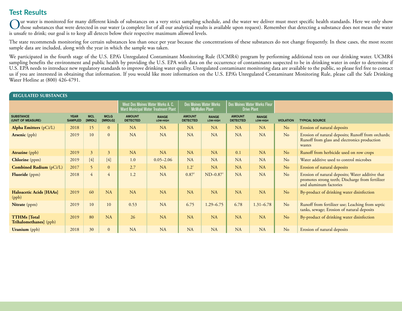## **Test Results**

Our water is monitored for many different kinds of substances on a very strict sampling schedule, and the water we deliver must meet specific health standards. Here we only show<br>those substances that were detected in our w is unsafe to drink; our goal is to keep all detects below their respective maximum allowed levels.

The state recommends monitoring for certain substances less than once per year because the concentrations of these substances do not change frequently. In these cases, the most recent sample data are included, along with the year in which the sample was taken.

We participated in the fourth stage of the U.S. EPA's Unregulated Contaminant Monitoring Rule (UCMR4) program by performing additional tests on our drinking water. UCMR4 sampling benefits the environment and public health by providing the U.S. EPA with data on the occurrence of contaminants suspected to be in drinking water in order to determine if U.S. EPA needs to introduce new regulatory standards to improve drinking water quality. Unregulated contaminant monitoring data are available to the public, so please feel free to contact us if you are interested in obtaining that information. If you would like more information on the U.S. EPA's Unregulated Contaminant Monitoring Rule, please call the Safe Drinking Water Hotline at (800) 426-4791.

| <b>REGULATED SUBSTANCES</b>                          |                               |                         |                        |                                  |                                                                                  |                                  |                                                        |                                                    |                          |                  |                                                                                                                                |  |
|------------------------------------------------------|-------------------------------|-------------------------|------------------------|----------------------------------|----------------------------------------------------------------------------------|----------------------------------|--------------------------------------------------------|----------------------------------------------------|--------------------------|------------------|--------------------------------------------------------------------------------------------------------------------------------|--|
|                                                      |                               |                         |                        |                                  | <b>West Des Moines Water Works A. C.</b><br>Ward Municipal Water Treatment Plant |                                  | <b>Des Moines Water Works</b><br><b>McMullen Plant</b> | Des Moines Water Works Fleur<br><b>Drive Plant</b> |                          |                  |                                                                                                                                |  |
| <b>SUBSTANCE</b><br>(UNIT OF MEASURE)                | <b>YEAR</b><br><b>SAMPLED</b> | <b>MCL</b><br>[MRDL]    | <b>MCLG</b><br>[MRDLG] | <b>AMOUNT</b><br><b>DETECTED</b> | <b>RANGE</b><br>LOW-HIGH                                                         | <b>AMOUNT</b><br><b>DETECTED</b> | <b>RANGE</b><br>LOW-HIGH                               | <b>AMOUNT</b><br><b>DETECTED</b>                   | <b>RANGE</b><br>LOW-HIGH | <b>VIOLATION</b> | <b>TYPICAL SOURCE</b>                                                                                                          |  |
| <b>Alpha Emitters</b> (pCi/L)                        | 2018                          | 15                      | $\overline{0}$         | <b>NA</b>                        | <b>NA</b>                                                                        | <b>NA</b>                        | <b>NA</b>                                              | <b>NA</b>                                          | <b>NA</b>                | N <sub>o</sub>   | Erosion of natural deposits                                                                                                    |  |
| <b>Arsenic</b> (ppb)                                 | 2019                          | 10                      | $\Omega$               | <b>NA</b>                        | <b>NA</b>                                                                        | <b>NA</b>                        | <b>NA</b>                                              | <b>NA</b>                                          | <b>NA</b>                | N <sub>o</sub>   | Erosion of natural deposits; Runoff from orchards;<br>Runoff from glass and electronics production<br>wastes                   |  |
| <b>Atrazine</b> (ppb)                                | 2019                          | $\overline{\mathbf{3}}$ | $\mathfrak{Z}$         | <b>NA</b>                        | <b>NA</b>                                                                        | <b>NA</b>                        | <b>NA</b>                                              | 0.1                                                | <b>NA</b>                | No               | Runoff from herbicide used on row crops                                                                                        |  |
| <b>Chlorine</b> (ppm)                                | 2019                          | $[4]$                   | $[4]$                  | 1.0                              | $0.05 - 2.06$                                                                    | <b>NA</b>                        | <b>NA</b>                                              | <b>NA</b>                                          | <b>NA</b>                | No               | Water additive used to control microbes                                                                                        |  |
| <b>Combined Radium</b> (pCi/L)                       | 2017                          | 5                       | $\overline{0}$         | 2.7                              | NA                                                                               | $1.2^{1}$                        | <b>NA</b>                                              | <b>NA</b>                                          | NA                       | N <sub>o</sub>   | Erosion of natural deposits                                                                                                    |  |
| <b>Fluoride</b> (ppm)                                | 2018                          | $\overline{4}$          | $\overline{4}$         | 1.2                              | <b>NA</b>                                                                        | 0.87 <sup>1</sup>                | $ND-0.87$ <sup>1</sup>                                 | <b>NA</b>                                          | <b>NA</b>                | N <sub>o</sub>   | Erosion of natural deposits; Water additive that<br>promotes strong teeth; Discharge from fertilizer<br>and aluminum factories |  |
| Haloacetic Acids [HAAs]<br>(ppb)                     | 2019                          | 60                      | NA                     | <b>NA</b>                        | <b>NA</b>                                                                        | <b>NA</b>                        | <b>NA</b>                                              | <b>NA</b>                                          | <b>NA</b>                | N <sub>o</sub>   | By-product of drinking water disinfection                                                                                      |  |
| Nitrate (ppm)                                        | 2019                          | 10                      | 10                     | 0.53                             | <b>NA</b>                                                                        | 6.75                             | $1.29 - 6.75$                                          | 6.78                                               | $1.31 - 6.78$            | N <sub>o</sub>   | Runoff from fertilizer use; Leaching from septic<br>tanks, sewage; Erosion of natural deposits                                 |  |
| <b>TTHMs</b> [Total]<br><b>Trihalomethanes</b> (ppb) | 2019                          | 80                      | <b>NA</b>              | 26                               | <b>NA</b>                                                                        | <b>NA</b>                        | <b>NA</b>                                              | <b>NA</b>                                          | <b>NA</b>                | N <sub>o</sub>   | By-product of drinking water disinfection                                                                                      |  |
| <b>Uranium</b> (ppb)                                 | 2018                          | 30                      | $\mathbf{0}$           | NA                               | <b>NA</b>                                                                        | <b>NA</b>                        | <b>NA</b>                                              | <b>NA</b>                                          | NA                       | N <sub>o</sub>   | Erosion of natural deposits                                                                                                    |  |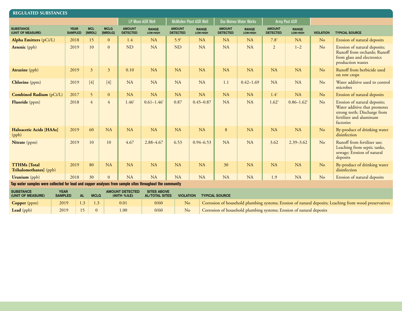| <b>REGULATED SUBSTANCES</b>                                                                              |                               |                      |                        |                                  |                            |                                  |                          |                                  |                          |                                  |                          |                  |                                                                                                                                      |
|----------------------------------------------------------------------------------------------------------|-------------------------------|----------------------|------------------------|----------------------------------|----------------------------|----------------------------------|--------------------------|----------------------------------|--------------------------|----------------------------------|--------------------------|------------------|--------------------------------------------------------------------------------------------------------------------------------------|
|                                                                                                          |                               |                      |                        |                                  | <b>LP Moon ASR Well</b>    |                                  | McMullen Plant ASR Well  | Des Moines Water Works           |                          | Army Post ASR                    |                          |                  |                                                                                                                                      |
| <b>SUBSTANCE</b><br>(UNIT OF MEASURE)                                                                    | <b>YEAR</b><br><b>SAMPLED</b> | <b>MCL</b><br>[MRDL] | <b>MCLG</b><br>[MRDLG] | <b>AMOUNT</b><br><b>DETECTED</b> | <b>RANGE</b><br>LOW-HIGH   | <b>AMOUNT</b><br><b>DETECTED</b> | <b>RANGE</b><br>LOW-HIGH | <b>AMOUNT</b><br><b>DETECTED</b> | <b>RANGE</b><br>LOW-HIGH | <b>AMOUNT</b><br><b>DETECTED</b> | <b>RANGE</b><br>LOW-HIGH | <b>VIOLATION</b> | <b>TYPICAL SOURCE</b>                                                                                                                |
| <b>Alpha Emitters</b> (pCi/L)                                                                            | 2018                          | 15                   | $\overline{0}$         | 1.4                              | <b>NA</b>                  | 5.9 <sup>1</sup>                 | <b>NA</b>                | NA                               | <b>NA</b>                | 7.8 <sup>1</sup>                 | NA                       | No               | Erosion of natural deposits                                                                                                          |
| <b>Arsenic</b> (ppb)                                                                                     | 2019                          | 10                   | $\Omega$               | <b>ND</b>                        | <b>NA</b>                  | <b>ND</b>                        | <b>NA</b>                | NA                               | <b>NA</b>                | $\overline{2}$                   | $1 - 2$                  | No               | Erosion of natural deposits;<br>Runoff from orchards; Runoff<br>from glass and electronics<br>production wastes                      |
| <b>Atrazine</b> (ppb)                                                                                    | 2019                          | $\overline{3}$       | $\overline{3}$         | 0.10                             | NA                         | <b>NA</b>                        | <b>NA</b>                | NA                               | <b>NA</b>                | NA                               | NA                       | No               | Runoff from herbicide used<br>on row crops                                                                                           |
| <b>Chlorine</b> (ppm)                                                                                    | 2019                          | $[4]$                | $[4]$                  | NA                               | <b>NA</b>                  | <b>NA</b>                        | <b>NA</b>                | 1.1                              | $0.42 - 1.69$            | NA                               | NA                       | No               | Water additive used to control<br>microbes                                                                                           |
| <b>Combined Radium</b> (pCi/L)                                                                           | 2017                          | 5 <sub>1</sub>       | $\overline{0}$         | NA                               | NA                         | NA                               | <b>NA</b>                | <b>NA</b>                        | <b>NA</b>                | 1.4 <sup>1</sup>                 | <b>NA</b>                | No               | Erosion of natural deposits                                                                                                          |
| Fluoride (ppm)                                                                                           | 2018                          | 4                    | $\overline{4}$         | 1.46 <sup>1</sup>                | $0.61 - 1.46$ <sup>1</sup> | 0.87                             | $0.45 - 0.87$            | <b>NA</b>                        | <b>NA</b>                | 1.62 <sup>1</sup>                | $0.86 - 1.62$            | No               | Erosion of natural deposits;<br>Water additive that promotes<br>strong teeth; Discharge from<br>fertilizer and aluminum<br>factories |
| Haloacetic Acids [HAAs]<br>(ppb)                                                                         | 2019                          | 60                   | NA                     | <b>NA</b>                        | <b>NA</b>                  | <b>NA</b>                        | <b>NA</b>                | 8                                | <b>NA</b>                | NA                               | NA                       | No               | By-product of drinking water<br>disinfection                                                                                         |
| Nitrate (ppm)                                                                                            | 2019                          | 10                   | 10 <sup>10</sup>       | 4.67                             | $2.88 - 4.67$              | 6.53                             | $0.94 - 6.53$            | NA                               | <b>NA</b>                | 3.62                             | $2.39 - 3.62$            | No               | Runoff from fertilizer use;<br>Leaching from septic tanks,<br>sewage; Erosion of natural<br>deposits                                 |
| <b>TTHMs</b> [Total<br>Trihalomethanes] (ppb)                                                            | 2019                          | 80                   | NA                     | NA                               | NA                         | NA                               | NA                       | 30                               | NA                       | NA                               | <b>NA</b>                | No               | By-product of drinking water<br>disinfection                                                                                         |
| <b>Uranium</b> (ppb)                                                                                     | 2018                          | 30                   | $\overline{0}$         | NA                               | <b>NA</b>                  | <b>NA</b>                        | <b>NA</b>                | NA                               | <b>NA</b>                | 1.9                              | NA                       | No               | Erosion of natural deposits                                                                                                          |
| Tap water samples were collected for lead and copper analyses from sample sites throughout the community |                               |                      |                        |                                  |                            |                                  |                          |                                  |                          |                                  |                          |                  |                                                                                                                                      |

| <b>SUBSTANCE</b><br>(UNIT OF MEASURE) | <b>YEAR</b><br><b>SAMPLED</b> |     | <b>MCLG</b> | <b>AMOUNT DETECTED</b><br>(90TH %ILE) | <b>SITES ABOVE</b><br><b>AL/TOTAL SITES</b> | <b>VIOLATION</b> | <b>TYPICAL SOURCE</b>                                                                                  |
|---------------------------------------|-------------------------------|-----|-------------|---------------------------------------|---------------------------------------------|------------------|--------------------------------------------------------------------------------------------------------|
| Copper (ppm)                          | 2019                          | 1.3 |             | 0.01                                  | 0/60                                        | N <sub>o</sub>   | Corrosion of household plumbing systems; Erosion of natural deposits; Leaching from wood preservatives |
| <b>Lead</b> (ppb)                     | 2019                          | 15  | $\Omega$    | 0.00                                  | 0/60                                        | <b>No</b>        | Corrosion of household plumbing systems; Erosion of natural deposits                                   |